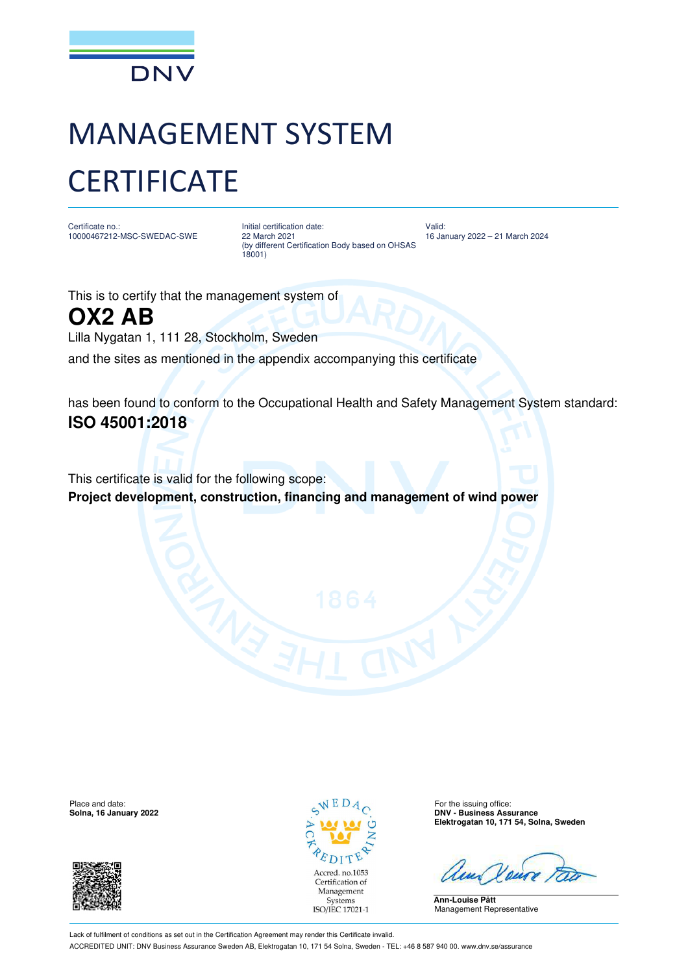

## MANAGEMENT SYSTEM **CERTIFICATE**

Certificate no.: 10000467212-MSC-SWEDAC-SWE Initial certification date: 22 March 2021 (by different Certification Body based on OHSAS 18001)

Valid: 16 January 2022 – 21 March 2024

This is to certify that the management system of **OX2 AB**

Lilla Nygatan 1, 111 28, Stockholm, Sweden

and the sites as mentioned in the appendix accompanying this certificate

has been found to conform to the Occupational Health and Safety Management System standard: **ISO 45001:2018**

This certificate is valid for the following scope: **Project development, construction, financing and management of wind power** 

Place and date: For the issuing office:  $\sqrt{E} D A_{\odot}$  For the issuing office:





**Solna, 16 January 2022 DNV - Business Assurance Elektrogatan 10, 171 54, Solna, Sweden**

**Ann-Louise Pått** Management Representative

Lack of fulfilment of conditions as set out in the Certification Agreement may render this Certificate invalid. ACCREDITED UNIT: DNV Business Assurance Sweden AB, Elektrogatan 10, 171 54 Solna, Sweden - TEL: +46 8 587 940 00. www.dnv.se/assurance